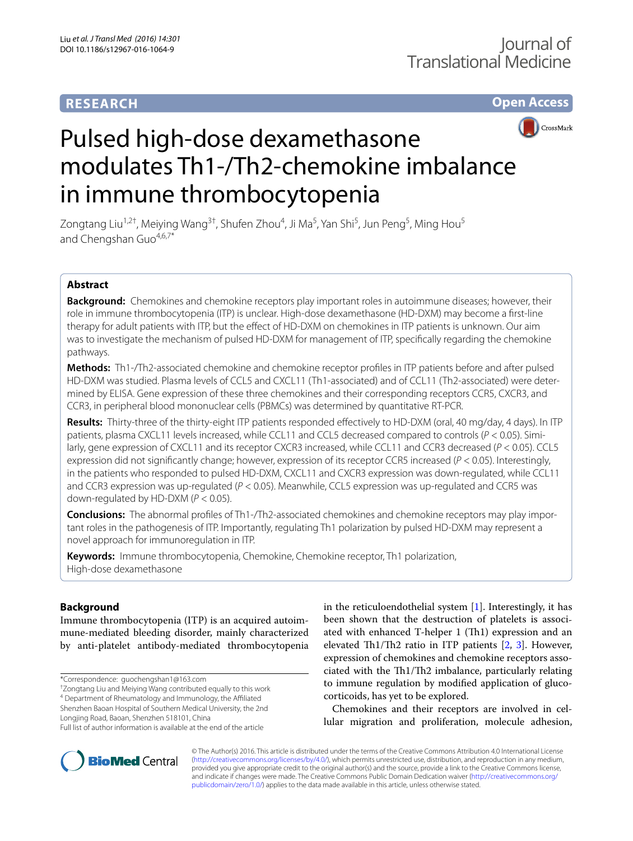# **RESEARCH**

**Open Access**



# Pulsed high-dose dexamethasone modulates Th1-/Th2-chemokine imbalance in immune thrombocytopenia

Zongtang Liu<sup>1,2†</sup>, Meiying Wang<sup>3†</sup>, Shufen Zhou<sup>4</sup>, Ji Ma<sup>5</sup>, Yan Shi<sup>5</sup>, Jun Peng<sup>5</sup>, Ming Hou<sup>5</sup> and Chengshan Guo<sup>4,6,7\*</sup>

# **Abstract**

**Background:** Chemokines and chemokine receptors play important roles in autoimmune diseases; however, their role in immune thrombocytopenia (ITP) is unclear. High-dose dexamethasone (HD-DXM) may become a first-line therapy for adult patients with ITP, but the effect of HD-DXM on chemokines in ITP patients is unknown. Our aim was to investigate the mechanism of pulsed HD-DXM for management of ITP, specifically regarding the chemokine pathways.

**Methods:** Th1-/Th2-associated chemokine and chemokine receptor profiles in ITP patients before and after pulsed HD-DXM was studied. Plasma levels of CCL5 and CXCL11 (Th1-associated) and of CCL11 (Th2-associated) were determined by ELISA. Gene expression of these three chemokines and their corresponding receptors CCR5, CXCR3, and CCR3, in peripheral blood mononuclear cells (PBMCs) was determined by quantitative RT-PCR.

**Results:** Thirty-three of the thirty-eight ITP patients responded effectively to HD-DXM (oral, 40 mg/day, 4 days). In ITP patients, plasma CXCL11 levels increased, while CCL11 and CCL5 decreased compared to controls (*P* < 0.05). Similarly, gene expression of CXCL11 and its receptor CXCR3 increased, while CCL11 and CCR3 decreased (*P* < 0.05). CCL5 expression did not significantly change; however, expression of its receptor CCR5 increased (*P* < 0.05). Interestingly, in the patients who responded to pulsed HD-DXM, CXCL11 and CXCR3 expression was down-regulated, while CCL11 and CCR3 expression was up-regulated (*P* < 0.05). Meanwhile, CCL5 expression was up-regulated and CCR5 was down-regulated by HD-DXM (*P* < 0.05).

**Conclusions:** The abnormal profiles of Th1-/Th2-associated chemokines and chemokine receptors may play important roles in the pathogenesis of ITP. Importantly, regulating Th1 polarization by pulsed HD-DXM may represent a novel approach for immunoregulation in ITP.

**Keywords:** Immune thrombocytopenia, Chemokine, Chemokine receptor, Th1 polarization, High-dose dexamethasone

# **Background**

Immune thrombocytopenia (ITP) is an acquired autoimmune-mediated bleeding disorder, mainly characterized by anti-platelet antibody-mediated thrombocytopenia

† Zongtang Liu and Meiying Wang contributed equally to this work 4 Department of Rheumatology and Immunology, the Affiliated

Shenzhen Baoan Hospital of Southern Medical University, the 2nd

Longjing Road, Baoan, Shenzhen 518101, China

in the reticuloendothelial system  $[1]$  $[1]$ . Interestingly, it has been shown that the destruction of platelets is associated with enhanced T-helper 1 (Th1) expression and an elevated Th1/Th2 ratio in ITP patients [[2,](#page-6-1) [3\]](#page-6-2). However, expression of chemokines and chemokine receptors associated with the Th1/Th2 imbalance, particularly relating to immune regulation by modified application of glucocorticoids, has yet to be explored.

Chemokines and their receptors are involved in cellular migration and proliferation, molecule adhesion,



© The Author(s) 2016. This article is distributed under the terms of the Creative Commons Attribution 4.0 International License [\(http://creativecommons.org/licenses/by/4.0/\)](http://creativecommons.org/licenses/by/4.0/), which permits unrestricted use, distribution, and reproduction in any medium, provided you give appropriate credit to the original author(s) and the source, provide a link to the Creative Commons license, and indicate if changes were made. The Creative Commons Public Domain Dedication waiver ([http://creativecommons.org/](http://creativecommons.org/publicdomain/zero/1.0/) [publicdomain/zero/1.0/](http://creativecommons.org/publicdomain/zero/1.0/)) applies to the data made available in this article, unless otherwise stated.

<sup>\*</sup>Correspondence: guochengshan1@163.com

Full list of author information is available at the end of the article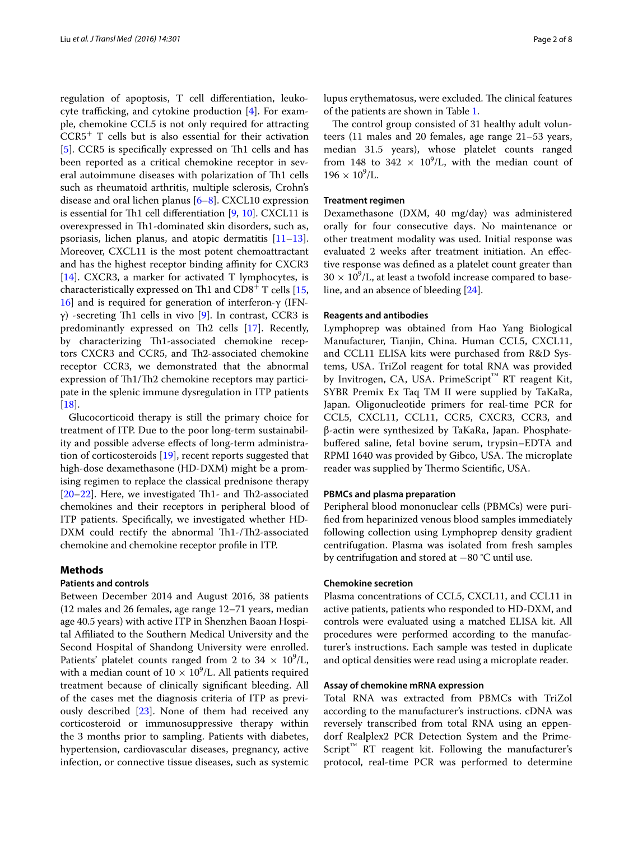regulation of apoptosis, T cell differentiation, leukocyte trafficking, and cytokine production [\[4](#page-6-3)]. For example, chemokine CCL5 is not only required for attracting  $CCR5<sup>+</sup>$  T cells but is also essential for their activation [[5\]](#page-6-4). CCR5 is specifically expressed on Th1 cells and has been reported as a critical chemokine receptor in several autoimmune diseases with polarization of Th1 cells such as rheumatoid arthritis, multiple sclerosis, Crohn's disease and oral lichen planus [\[6](#page-6-5)–[8\]](#page-6-6). CXCL10 expression is essential for Th1 cell differentiation [[9,](#page-6-7) [10](#page-6-8)]. CXCL11 is overexpressed in Th1-dominated skin disorders, such as, psoriasis, lichen planus, and atopic dermatitis  $[11-13]$  $[11-13]$  $[11-13]$ . Moreover, CXCL11 is the most potent chemoattractant and has the highest receptor binding affinity for CXCR3 [[14\]](#page-6-11). CXCR3, a marker for activated T lymphocytes, is characteristically expressed on Th1 and  $CD8<sup>+</sup>$  T cells [\[15](#page-6-12), [16\]](#page-6-13) and is required for generation of interferon-γ (IFN $γ$ ) -secreting Th1 cells in vivo [[9](#page-6-7)]. In contrast, CCR3 is predominantly expressed on Th2 cells [[17\]](#page-7-0). Recently, by characterizing Th1-associated chemokine receptors CXCR3 and CCR5, and Th2-associated chemokine receptor CCR3, we demonstrated that the abnormal expression of Th1/Th2 chemokine receptors may participate in the splenic immune dysregulation in ITP patients [[18\]](#page-7-1).

Glucocorticoid therapy is still the primary choice for treatment of ITP. Due to the poor long-term sustainability and possible adverse effects of long-term administration of corticosteroids [\[19](#page-7-2)], recent reports suggested that high-dose dexamethasone (HD-DXM) might be a promising regimen to replace the classical prednisone therapy [[20–](#page-7-3)[22](#page-7-4)]. Here, we investigated Th1- and Th2-associated chemokines and their receptors in peripheral blood of ITP patients. Specifically, we investigated whether HD-DXM could rectify the abnormal Th1-/Th2-associated chemokine and chemokine receptor profile in ITP.

## **Methods**

## **Patients and controls**

Between December 2014 and August 2016, 38 patients (12 males and 26 females, age range 12–71 years, median age 40.5 years) with active ITP in Shenzhen Baoan Hospital Affiliated to the Southern Medical University and the Second Hospital of Shandong University were enrolled. Patients' platelet counts ranged from 2 to  $34 \times 10^9$ /L, with a median count of  $10 \times 10^9$ /L. All patients required treatment because of clinically significant bleeding. All of the cases met the diagnosis criteria of ITP as previously described [[23\]](#page-7-5). None of them had received any corticosteroid or immunosuppressive therapy within the 3 months prior to sampling. Patients with diabetes, hypertension, cardiovascular diseases, pregnancy, active infection, or connective tissue diseases, such as systemic

lupus erythematosus, were excluded. The clinical features of the patients are shown in Table [1](#page-2-0).

The control group consisted of 31 healthy adult volunteers (11 males and 20 females, age range 21–53 years, median 31.5 years), whose platelet counts ranged from 148 to 342  $\times$  10<sup>9</sup>/L, with the median count of  $196 \times 10^9$ /L.

## **Treatment regimen**

Dexamethasone (DXM, 40 mg/day) was administered orally for four consecutive days. No maintenance or other treatment modality was used. Initial response was evaluated 2 weeks after treatment initiation. An effective response was defined as a platelet count greater than  $30 \times 10^9$ /L, at least a twofold increase compared to baseline, and an absence of bleeding [\[24](#page-7-6)].

#### **Reagents and antibodies**

Lymphoprep was obtained from Hao Yang Biological Manufacturer, Tianjin, China. Human CCL5, CXCL11, and CCL11 ELISA kits were purchased from R&D Systems, USA. TriZol reagent for total RNA was provided by Invitrogen, CA, USA. PrimeScript™ RT reagent Kit, SYBR Premix Ex Taq TM II were supplied by TaKaRa, Japan. Oligonucleotide primers for real-time PCR for CCL5, CXCL11, CCL11, CCR5, CXCR3, CCR3, and β-actin were synthesized by TaKaRa, Japan. Phosphatebuffered saline, fetal bovine serum, trypsin–EDTA and RPMI 1640 was provided by Gibco, USA. The microplate reader was supplied by Thermo Scientific, USA.

## **PBMCs and plasma preparation**

Peripheral blood mononuclear cells (PBMCs) were purified from heparinized venous blood samples immediately following collection using Lymphoprep density gradient centrifugation. Plasma was isolated from fresh samples by centrifugation and stored at −80 °C until use.

## **Chemokine secretion**

Plasma concentrations of CCL5, CXCL11, and CCL11 in active patients, patients who responded to HD-DXM, and controls were evaluated using a matched ELISA kit. All procedures were performed according to the manufacturer's instructions. Each sample was tested in duplicate and optical densities were read using a microplate reader.

## **Assay of chemokine mRNA expression**

Total RNA was extracted from PBMCs with TriZol according to the manufacturer's instructions. cDNA was reversely transcribed from total RNA using an eppendorf Realplex2 PCR Detection System and the Prime- $Script^M$  RT reagent kit. Following the manufacturer's protocol, real-time PCR was performed to determine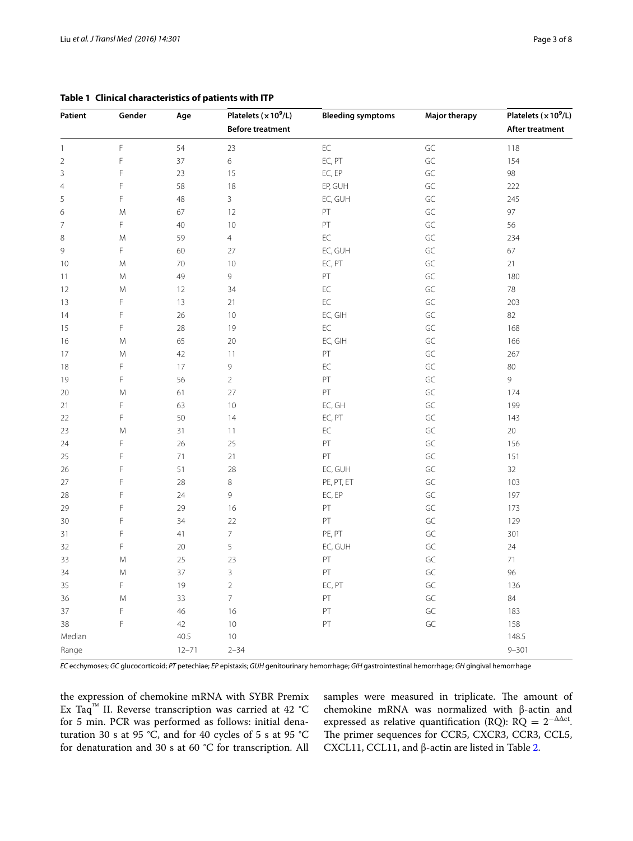| Patient        | Gender      | Age       | Platelets (x 10 <sup>9</sup> /L) | <b>Bleeding symptoms</b> | <b>Major therapy</b> | Platelets ( $\times 10^9$ /L) |
|----------------|-------------|-----------|----------------------------------|--------------------------|----------------------|-------------------------------|
|                |             |           | <b>Before treatment</b>          |                          |                      | After treatment               |
| $\mathbf{1}$   | F           | 54        | 23                               | $\mathsf{EC}$            | $\mathsf{GC}$        | 118                           |
| $\sqrt{2}$     | F           | 37        | 6                                | EC, PT                   | GC                   | 154                           |
| 3              | F           | 23        | 15                               | EC, EP                   | GC                   | 98                            |
| $\overline{4}$ | F           | 58        | 18                               | EP, GUH                  | GC                   | 222                           |
| 5              | F           | 48        | $\overline{3}$                   | EC, GUH                  | GC                   | 245                           |
| 6              | M           | 67        | 12                               | PT                       | GC                   | 97                            |
| $\overline{7}$ | F           | 40        | 10                               | $\mathsf{PT}$            | GC                   | 56                            |
| $\,8\,$        | M           | 59        | $\overline{4}$                   | $\mathsf{EC}$            | GC                   | 234                           |
| $\mathsf{9}$   | F           | 60        | 27                               | EC, GUH                  | GC                   | 67                            |
| 10             | M           | $70\,$    | 10                               | EC, PT                   | GC                   | 21                            |
| 11             | М           | 49        | 9                                | PT                       | GC                   | 180                           |
| 12             | M           | 12        | 34                               | $\mathsf{EC}$            | GC                   | 78                            |
| 13             | F           | 13        | 21                               | $\mathsf{EC}$            | GC                   | 203                           |
| 14             | F           | 26        | 10                               | EC, GIH                  | $\mathsf{GC}$        | 82                            |
| 15             | F           | 28        | 19                               | $\mathsf{EC}$            | GC                   | 168                           |
| 16             | M           | 65        | 20                               | EC, GIH                  | GC                   | 166                           |
| 17             | M           | 42        | 11                               | $\mathsf{PT}$            | GC                   | 267                           |
| 18             | F           | 17        | 9                                | $\mathsf{EC}$            | GC                   | 80                            |
| 19             | F           | 56        | $\overline{2}$                   | PT                       | GC                   | 9                             |
| 20             | M           | 61        | 27                               | PT                       | GC                   | 174                           |
| 21             | F           | 63        | 10 <sup>°</sup>                  | EC, GH                   | GC                   | 199                           |
| 22             | $\mathsf F$ | 50        | 14                               | EC, PT                   | GC                   | 143                           |
| 23             | M           | 31        | 11                               | $\mathsf{EC}$            | GC                   | 20                            |
| 24             | $\mathsf F$ | 26        | 25                               | PT                       | $\mathsf{GC}$        | 156                           |
| 25             | $\mathsf F$ | $71\,$    | 21                               | PT                       | GC                   | 151                           |
| 26             | F           | 51        | 28                               | EC, GUH                  | GC                   | 32                            |
| 27             | F           | 28        | $\,8\,$                          | PE, PT, ET               | $\mathsf{GC}$        | 103                           |
| 28             | $\mathsf F$ | 24        | 9                                | EC, EP                   | $\mathsf{GC}$        | 197                           |
| 29             | F           | 29        | 16                               | PT                       | GC                   | 173                           |
| 30             | F           | 34        | 22                               | PT                       | $\mathsf{GC}$        | 129                           |
| 31             | F           | 41        | $\bar{7}$                        | PE, PT                   | $\mathsf{GC}$        | 301                           |
| 32             | F           | 20        | 5                                | EC, GUH                  | $\mathsf{GC}$        | 24                            |
| 33             | M           | 25        | 23                               | $\mathsf{PT}$            | $\mathsf{GC}$        | 71                            |
| 34             | M           | 37        | 3                                | PT                       | GC                   | 96                            |
| 35             | F           | 19        | $\overline{2}$                   | EC, PT                   | $\mathsf{GC}$        | 136                           |
| 36             | M           | 33        | $\overline{7}$                   | $\mathsf{PT}$            | $\mathsf{GC}$        | 84                            |
| 37             | F           | 46        | 16                               | PT                       | GC                   | 183                           |
| 38             | F           | 42        | $10\,$                           | $\mathsf{PT}$            | $\mathsf{GC}$        | 158                           |
| Median         |             | 40.5      | 10                               |                          |                      | 148.5                         |
| Range          |             | $12 - 71$ | $2 - 34$                         |                          |                      | $9 - 301$                     |

## <span id="page-2-0"></span>**Table 1 Clinical characteristics of patients with ITP**

*EC* ecchymoses; *GC* glucocorticoid; *PT* petechiae; *EP* epistaxis; *GUH* genitourinary hemorrhage; *GIH* gastrointestinal hemorrhage; *GH* gingival hemorrhage

the expression of chemokine mRNA with SYBR Premix Ex Taq<sup>™</sup> II. Reverse transcription was carried at 42 °C for 5 min. PCR was performed as follows: initial denaturation 30 s at 95 °C, and for 40 cycles of 5 s at 95 °C for denaturation and 30 s at 60 °C for transcription. All

samples were measured in triplicate. The amount of chemokine mRNA was normalized with β-actin and expressed as relative quantification (RQ): RQ =  $2^{-\Delta\Delta ct}$ . The primer sequences for CCR5, CXCR3, CCR3, CCL5, CXCL11, CCL11, and  $β$ -actin are listed in Table [2.](#page-3-0)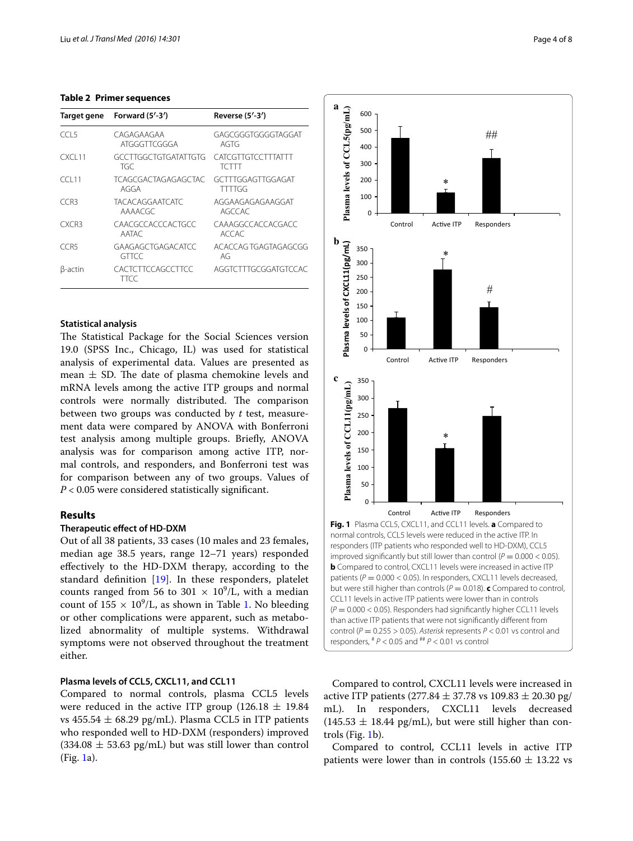## <span id="page-3-0"></span>**Table 2 Primer sequences**

| Target gene        | Forward $(5'-3')$                 | Reverse (5'-3')                    |
|--------------------|-----------------------------------|------------------------------------|
| CCL 5              | CAGAGAAGAA<br>ATGGGTTCGGGA        | GAGCGGGTGGGGTAGGAT<br>AGTG         |
| CXCL <sub>11</sub> | GCCTTGGCTGTGATATTGTG<br>TGC       | CATCGTTGTCCTTTATTT<br>TCTTT        |
| CC111              | TCAGCGACTAGAGAGCTAC<br>AGGA       | GCTTTGGAGTTGGAGAT<br><b>TTTTGG</b> |
| CCR3               | <b>TACACAGGAATCATC</b><br>AAAACGC | AGGAAGAGAGAAGGAT<br>AGCCAC         |
| CXCR3              | CAACGCCACCCACTGCC<br>AATAC        | CAAAGGCCACCACGACC<br>ACCAC         |
| CCR5               | GAAGAGCTGAGACATCC<br><b>GTTCC</b> | ACACCAG TGAGTAGAGCGG<br>AG         |
| β-actin            | CACTCTTCCAGCCTTCC<br>TTCC         | AGGICITIGCGGATGICCAC               |

## **Statistical analysis**

The Statistical Package for the Social Sciences version 19.0 (SPSS Inc., Chicago, IL) was used for statistical analysis of experimental data. Values are presented as mean  $\pm$  SD. The date of plasma chemokine levels and mRNA levels among the active ITP groups and normal controls were normally distributed. The comparison between two groups was conducted by *t* test, measurement data were compared by ANOVA with Bonferroni test analysis among multiple groups. Briefly, ANOVA analysis was for comparison among active ITP, normal controls, and responders, and Bonferroni test was for comparison between any of two groups. Values of *P* < 0.05 were considered statistically significant.

## **Results**

## **Therapeutic effect of HD‑DXM**

Out of all 38 patients, 33 cases (10 males and 23 females, median age 38.5 years, range 12–71 years) responded effectively to the HD-DXM therapy, according to the standard definition [\[19](#page-7-2)]. In these responders, platelet counts ranged from 56 to 301  $\times$  10<sup>9</sup>/L, with a median count of  $155 \times 10^9$  $155 \times 10^9$ /L, as shown in Table 1. No bleeding or other complications were apparent, such as metabolized abnormality of multiple systems. Withdrawal symptoms were not observed throughout the treatment either.

## **Plasma levels of CCL5, CXCL11, and CCL11**

Compared to normal controls, plasma CCL5 levels were reduced in the active ITP group (126.18  $\pm$  19.84 vs  $455.54 \pm 68.29$  pg/mL). Plasma CCL5 in ITP patients who responded well to HD-DXM (responders) improved  $(334.08 \pm 53.63 \text{ pg/mL})$  but was still lower than control (Fig. [1a](#page-3-1)).



<span id="page-3-1"></span>Compared to control, CXCL11 levels were increased in active ITP patients  $(277.84 \pm 37.78 \text{ vs } 109.83 \pm 20.30 \text{ pg/})$ mL). In responders, CXCL11 levels decreased  $(145.53 \pm 18.44 \text{ pg/mL})$ , but were still higher than controls (Fig. [1b](#page-3-1)).

Compared to control, CCL11 levels in active ITP patients were lower than in controls (155.60  $\pm$  13.22 vs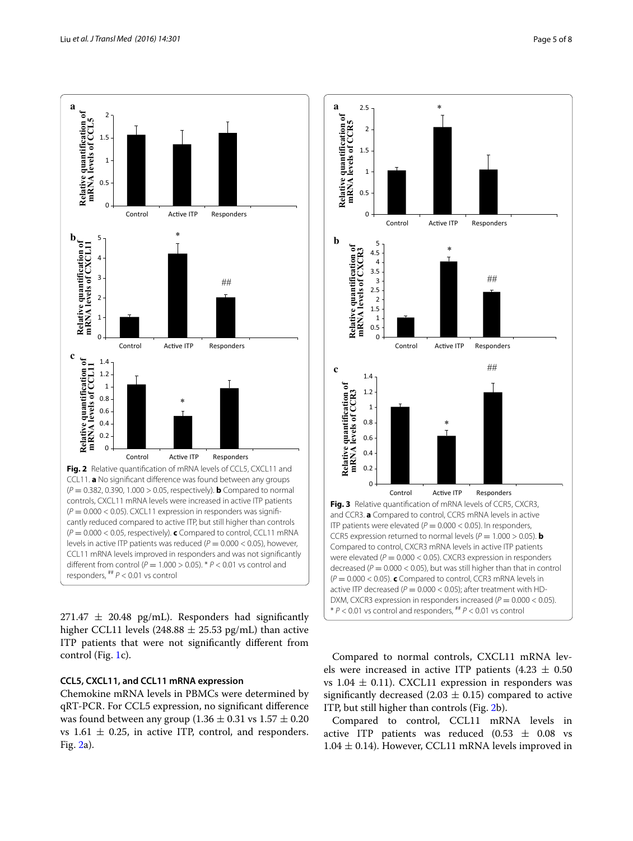



<span id="page-4-0"></span> $271.47 \pm 20.48$  pg/mL). Responders had significantly higher CCL11 levels (248.88  $\pm$  25.53 pg/mL) than active ITP patients that were not significantly different from control (Fig. [1c](#page-3-1)).

## **CCL5, CXCL11, and CCL11 mRNA expression**

Chemokine mRNA levels in PBMCs were determined by qRT-PCR. For CCL5 expression, no significant difference was found between any group  $(1.36 \pm 0.31 \text{ vs } 1.57 \pm 0.20$ vs  $1.61 \pm 0.25$ , in active ITP, control, and responders. Fig. [2a](#page-4-0)).



<span id="page-4-1"></span>Compared to normal controls, CXCL11 mRNA levels were increased in active ITP patients  $(4.23 \pm 0.50)$ vs 1.04  $\pm$  0.11). CXCL11 expression in responders was significantly decreased (2.03  $\pm$  0.15) compared to active ITP, but still higher than controls (Fig. [2b](#page-4-0)).

Compared to control, CCL11 mRNA levels in active ITP patients was reduced  $(0.53 \pm 0.08 \text{ vs }$  $1.04 \pm 0.14$ ). However, CCL11 mRNA levels improved in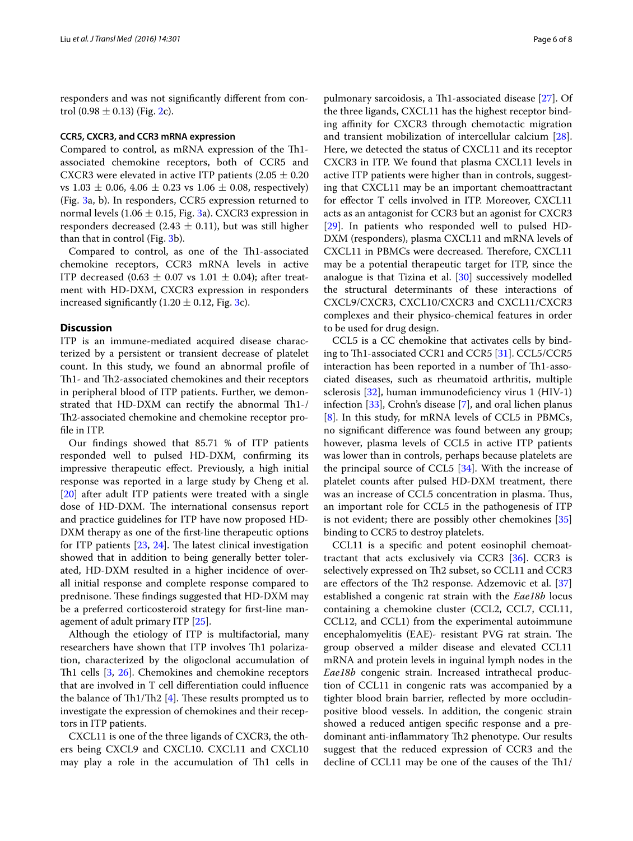responders and was not significantly different from control  $(0.98 \pm 0.13)$  (Fig. [2c](#page-4-0)).

## **CCR5, CXCR3, and CCR3 mRNA expression**

Compared to control, as mRNA expression of the Th1 associated chemokine receptors, both of CCR5 and CXCR3 were elevated in active ITP patients  $(2.05 \pm 0.20)$ vs  $1.03 \pm 0.06$ ,  $4.06 \pm 0.23$  vs  $1.06 \pm 0.08$ , respectively) (Fig. [3a](#page-4-1), b). In responders, CCR5 expression returned to normal levels (1.06  $\pm$  0.15, Fig. [3](#page-4-1)a). CXCR3 expression in responders decreased (2.43  $\pm$  0.11), but was still higher than that in control (Fig. [3](#page-4-1)b).

Compared to control, as one of the Th1-associated chemokine receptors, CCR3 mRNA levels in active ITP decreased (0.63  $\pm$  0.07 vs 1.01  $\pm$  0.04); after treatment with HD-DXM, CXCR3 expression in responders increased significantly  $(1.20 \pm 0.12,$  Fig. [3c](#page-4-1)).

## **Discussion**

ITP is an immune-mediated acquired disease characterized by a persistent or transient decrease of platelet count. In this study, we found an abnormal profile of Th1- and Th2-associated chemokines and their receptors in peripheral blood of ITP patients. Further, we demonstrated that HD-DXM can rectify the abnormal Th1-/ Th2-associated chemokine and chemokine receptor profile in ITP.

Our findings showed that 85.71 % of ITP patients responded well to pulsed HD-DXM, confirming its impressive therapeutic effect. Previously, a high initial response was reported in a large study by Cheng et al. [[20\]](#page-7-3) after adult ITP patients were treated with a single dose of HD-DXM. The international consensus report and practice guidelines for ITP have now proposed HD-DXM therapy as one of the first-line therapeutic options for ITP patients [[23,](#page-7-5) [24](#page-7-6)]. The latest clinical investigation showed that in addition to being generally better tolerated, HD-DXM resulted in a higher incidence of overall initial response and complete response compared to prednisone. These findings suggested that HD-DXM may be a preferred corticosteroid strategy for first-line management of adult primary ITP [[25\]](#page-7-7).

Although the etiology of ITP is multifactorial, many researchers have shown that ITP involves Th1 polarization, characterized by the oligoclonal accumulation of Th1 cells [[3](#page-6-2), [26](#page-7-8)]. Chemokines and chemokine receptors that are involved in T cell differentiation could influence the balance of Th1/Th2  $[4]$  $[4]$ . These results prompted us to investigate the expression of chemokines and their receptors in ITP patients.

CXCL11 is one of the three ligands of CXCR3, the others being CXCL9 and CXCL10. CXCL11 and CXCL10 may play a role in the accumulation of Th1 cells in

pulmonary sarcoidosis, a Th1-associated disease [[27\]](#page-7-9). Of the three ligands, CXCL11 has the highest receptor binding affinity for CXCR3 through chemotactic migration and transient mobilization of intercellular calcium [\[28](#page-7-10)]. Here, we detected the status of CXCL11 and its receptor CXCR3 in ITP. We found that plasma CXCL11 levels in active ITP patients were higher than in controls, suggesting that CXCL11 may be an important chemoattractant for effector T cells involved in ITP. Moreover, CXCL11 acts as an antagonist for CCR3 but an agonist for CXCR3 [[29\]](#page-7-11). In patients who responded well to pulsed HD-DXM (responders), plasma CXCL11 and mRNA levels of CXCL11 in PBMCs were decreased. Therefore, CXCL11 may be a potential therapeutic target for ITP, since the analogue is that Tizina et al.  $[30]$  $[30]$  $[30]$  successively modelled the structural determinants of these interactions of CXCL9/CXCR3, CXCL10/CXCR3 and CXCL11/CXCR3 complexes and their physico-chemical features in order to be used for drug design.

CCL5 is a CC chemokine that activates cells by binding to Th1-associated CCR1 and CCR5 [[31](#page-7-13)]. CCL5/CCR5 interaction has been reported in a number of Th1-associated diseases, such as rheumatoid arthritis, multiple sclerosis [\[32](#page-7-14)], human immunodeficiency virus 1 (HIV-1) infection [\[33](#page-7-15)], Crohn's disease [\[7](#page-6-14)], and oral lichen planus [[8\]](#page-6-6). In this study, for mRNA levels of CCL5 in PBMCs, no significant difference was found between any group; however, plasma levels of CCL5 in active ITP patients was lower than in controls, perhaps because platelets are the principal source of CCL5 [[34\]](#page-7-16). With the increase of platelet counts after pulsed HD-DXM treatment, there was an increase of CCL5 concentration in plasma. Thus, an important role for CCL5 in the pathogenesis of ITP is not evident; there are possibly other chemokines [[35](#page-7-17)] binding to CCR5 to destroy platelets.

CCL11 is a specific and potent eosinophil chemoattractant that acts exclusively via CCR3 [\[36](#page-7-18)]. CCR3 is selectively expressed on Th2 subset, so CCL11 and CCR3 are effectors of the Th2 response. Adzemovic et al. [[37](#page-7-19)] established a congenic rat strain with the *Eae18b* locus containing a chemokine cluster (CCL2, CCL7, CCL11, CCL12, and CCL1) from the experimental autoimmune encephalomyelitis (EAE)- resistant PVG rat strain. The group observed a milder disease and elevated CCL11 mRNA and protein levels in inguinal lymph nodes in the *Eae18b* congenic strain. Increased intrathecal production of CCL11 in congenic rats was accompanied by a tighter blood brain barrier, reflected by more occludinpositive blood vessels. In addition, the congenic strain showed a reduced antigen specific response and a predominant anti-inflammatory Th2 phenotype. Our results suggest that the reduced expression of CCR3 and the decline of CCL11 may be one of the causes of the Th1/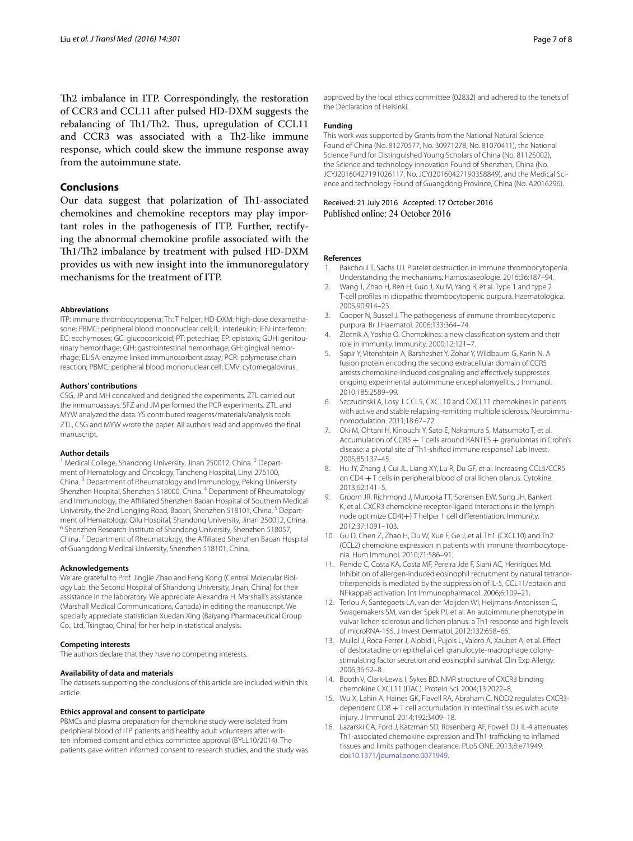Th2 imbalance in ITP. Correspondingly, the restoration of CCR3 and CCL11 after pulsed HD-DXM suggests the rebalancing of Th1/Th2. Thus, upregulation of CCL11 and CCR3 was associated with a Th2-like immune response, which could skew the immune response away from the autoimmune state.

## **Conclusions**

Our data suggest that polarization of Th1-associated chemokines and chemokine receptors may play important roles in the pathogenesis of ITP. Further, rectifying the abnormal chemokine profile associated with the Th1/Th2 imbalance by treatment with pulsed HD-DXM provides us with new insight into the immunoregulatory mechanisms for the treatment of ITP.

#### **Abbreviations**

ITP: immune thrombocytopenia; Th: T helper; HD-DXM: high-dose dexamethasone; PBMC: peripheral blood mononuclear cell; IL: interleukin; IFN: interferon; EC: ecchymoses; GC: glucocorticoid; PT: petechiae; EP: epistaxis; GUH: genitourinary hemorrhage; GIH: gastrointestinal hemorrhage; GH: gingival hemorrhage; ELISA: enzyme linked immunosorbent assay; PCR: polymerase chain reaction; PBMC: peripheral blood mononuclear cell; CMV: cytomegalovirus.

#### **Authors' contributions**

CSG, JP and MH conceived and designed the experiments. ZTL carried out the immunoassays. SFZ and JM performed the PCR experiments. ZTL and MYW analyzed the data. YS contributed reagents/materials/analysis tools. ZTL, CSG and MYW wrote the paper. All authors read and approved the final manuscript.

## **Author details**

<sup>1</sup> Medical College, Shandong University, Jinan 250012, China. <sup>2</sup> Department of Hematology and Oncology, Tancheng Hospital, Linyi 276100, China. <sup>3</sup> Department of Rheumatology and Immunology, Peking University Shenzhen Hospital, Shenzhen 518000, China. <sup>4</sup> Department of Rheumatology and Immunology, the Affiliated Shenzhen Baoan Hospital of Southern Medical University, the 2nd Longjing Road, Baoan, Shenzhen 518101, China. <sup>5</sup> Department of Hematology, Qilu Hospital, Shandong University, Jinan 250012, China.<br><sup>6</sup> Shenzhen Research Institute of Shandong University, Shenzhen 518057, China. <sup>7</sup> Department of Rheumatology, the Affiliated Shenzhen Baoan Hospital of Guangdong Medical University, Shenzhen 518101, China.

## **Acknowledgements**

We are grateful to Prof. Jingjie Zhao and Feng Kong (Central Molecular Biology Lab, the Second Hospital of Shandong University, Jinan, China) for their assistance in the laboratory. We appreciate Alexandra H. Marshall's assistance (Marshall Medical Communications, Canada) in editing the manuscript. We specially appreciate statistician Xuedan Xing (Baiyang Pharmaceutical Group Co., Ltd, Tsingtao, China) for her help in statistical analysis.

#### **Competing interests**

The authors declare that they have no competing interests.

#### **Availability of data and materials**

The datasets supporting the conclusions of this article are included within this article.

## **Ethics approval and consent to participate**

PBMCs and plasma preparation for chemokine study were isolated from peripheral blood of ITP patients and healthy adult volunteers after written informed consent and ethics committee approval (BYLL10/2014). The patients gave written informed consent to research studies, and the study was

approved by the local ethics committee (02832) and adhered to the tenets of the Declaration of Helsinki.

## **Funding**

This work was supported by Grants from the National Natural Science Found of China (No. 81270577, No. 30971278, No. 81070411), the National Science Fund for Distinguished Young Scholars of China (No. 81125002), the Science and technology innovation Found of Shenzhen, China (No. JCYJ20160427191026117, No. JCYJ20160427190358849), and the Medical Science and technology Found of Guangdong Province, China (No. A2016296).

Received: 21 July 2016 Accepted: 17 October 2016 Published online: 24 October 2016

#### **References**

- <span id="page-6-0"></span>1. Bakchoul T, Sachs UJ. Platelet destruction in immune thrombocytopenia. Understanding the mechanisms. Hamostaseologie. 2016;36:187–94.
- <span id="page-6-1"></span>2. Wang T, Zhao H, Ren H, Guo J, Xu M, Yang R, et al. Type 1 and type 2 T-cell profiles in idiopathic thrombocytopenic purpura. Haematologica. 2005;90:914–23.
- <span id="page-6-2"></span>3. Cooper N, Bussel J. The pathogenesis of immune thrombocytopenic purpura. Br J Haematol. 2006;133:364–74.
- <span id="page-6-3"></span>4. Zlotnik A, Yoshie O. Chemokines: a new classification system and their role in immunity. Immunity. 2000;12:121–7.
- <span id="page-6-4"></span>5. Sapir Y, Vitenshtein A, Barsheshet Y, Zohar Y, Wildbaum G, Karin N. A fusion protein encoding the second extracellular domain of CCR5 arrests chemokine-induced cosignaling and effectively suppresses ongoing experimental autoimmune encephalomyelitis. J Immunol. 2010;185:2589–99.
- <span id="page-6-5"></span>6. Szczucinski A, Losy J. CCL5, CXCL10 and CXCL11 chemokines in patients with active and stable relapsing-remitting multiple sclerosis. Neuroimmunomodulation. 2011;18:67–72.
- <span id="page-6-14"></span>7. Oki M, Ohtani H, Kinouchi Y, Sato E, Nakamura S, Matsumoto T, et al. Accumulation of CCR5 + T cells around RANTES + granulomas in Crohn's disease: a pivotal site of Th1-shifted immune response? Lab Invest. 2005;85:137–45.
- <span id="page-6-6"></span>8. Hu JY, Zhang J, Cui JL, Liang XY, Lu R, Du GF, et al. Increasing CCL5/CCR5 on CD4 + T cells in peripheral blood of oral lichen planus. Cytokine. 2013;62:141–5.
- <span id="page-6-7"></span>9. Groom JR, Richmond J, Murooka TT, Sorensen EW, Sung JH, Bankert K, et al. CXCR3 chemokine receptor-ligand interactions in the lymph node optimize CD4(+) T helper 1 cell differentiation. Immunity. 2012;37:1091–103.
- <span id="page-6-8"></span>10. Gu D, Chen Z, Zhao H, Du W, Xue F, Ge J, et al. Th1 (CXCL10) and Th2 (CCL2) chemokine expression in patients with immune thrombocytopenia. Hum Immunol. 2010;71:586–91.
- <span id="page-6-9"></span>11. Penido C, Costa KA, Costa MF, Pereira Jde F, Siani AC, Henriques Md. Inhibition of allergen-induced eosinophil recruitment by natural tetranortriterpenoids is mediated by the suppression of IL-5, CCL11/eotaxin and NFkappaB activation. Int Immunopharmacol. 2006;6:109–21.
- 12. Terlou A, Santegoets LA, van der Meijden WI, Heijmans-Antonissen C, Swagemakers SM, van der Spek PJ, et al. An autoimmune phenotype in vulvar lichen sclerosus and lichen planus: a Th1 response and high levels of microRNA-155. J Invest Dermatol. 2012;132:658–66.
- <span id="page-6-10"></span>13. Mullol J, Roca-Ferrer J, Alobid I, Pujols L, Valero A, Xaubet A, et al. Effect of desloratadine on epithelial cell granulocyte-macrophage colonystimulating factor secretion and eosinophil survival. Clin Exp Allergy. 2006;36:52–8.
- <span id="page-6-11"></span>14. Booth V, Clark-Lewis I, Sykes BD. NMR structure of CXCR3 binding chemokine CXCL11 (ITAC). Protein Sci. 2004;13:2022–8.
- <span id="page-6-12"></span>15. Wu X, Lahiri A, Haines GK, Flavell RA, Abraham C. NOD2 regulates CXCR3 dependent CD8 + T cell accumulation in intestinal tissues with acute injury. J Immunol. 2014;192:3409–18.
- <span id="page-6-13"></span>16. Lazarski CA, Ford J, Katzman SD, Rosenberg AF, Fowell DJ. IL-4 attenuates Th1-associated chemokine expression and Th1 trafficking to inflamed tissues and limits pathogen clearance. PLoS ONE. 2013;8:e71949. doi:[10.1371/journal.pone.0071949](http://dx.doi.org/10.1371/journal.pone.0071949).